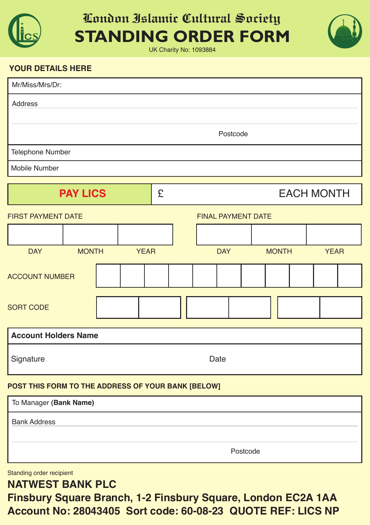

#### **London Islamic Cultural Society STANDING ORDER FORM**

UK Charity No: 1093884



#### **Your details here**

| Mr/Miss/Mrs/Dr:                                    |          |              |  |             |                           |  |            |  |              |  |             |  |  |
|----------------------------------------------------|----------|--------------|--|-------------|---------------------------|--|------------|--|--------------|--|-------------|--|--|
| Address                                            |          |              |  |             |                           |  |            |  |              |  |             |  |  |
|                                                    |          |              |  |             |                           |  |            |  |              |  |             |  |  |
|                                                    |          |              |  |             |                           |  | Postcode   |  |              |  |             |  |  |
| Telephone Number                                   |          |              |  |             |                           |  |            |  |              |  |             |  |  |
| Mobile Number                                      |          |              |  |             |                           |  |            |  |              |  |             |  |  |
| <b>PAY LICS</b>                                    |          |              |  |             | <b>EACH MONTH</b>         |  |            |  |              |  |             |  |  |
| <b>FIRST PAYMENT DATE</b>                          |          |              |  |             | <b>FINAL PAYMENT DATE</b> |  |            |  |              |  |             |  |  |
|                                                    |          |              |  |             |                           |  |            |  |              |  |             |  |  |
| <b>DAY</b>                                         |          | <b>MONTH</b> |  | <b>YEAR</b> |                           |  | <b>DAY</b> |  | <b>MONTH</b> |  | <b>YEAR</b> |  |  |
| <b>ACCOUNT NUMBER</b>                              |          |              |  |             |                           |  |            |  |              |  |             |  |  |
| <b>SORT CODE</b>                                   |          |              |  |             |                           |  |            |  |              |  |             |  |  |
| <b>Account Holders Name</b>                        |          |              |  |             |                           |  |            |  |              |  |             |  |  |
| Signature                                          |          |              |  | Date        |                           |  |            |  |              |  |             |  |  |
| POST THIS FORM TO THE ADDRESS OF YOUR BANK [BELOW] |          |              |  |             |                           |  |            |  |              |  |             |  |  |
| To Manager (Bank Name)                             |          |              |  |             |                           |  |            |  |              |  |             |  |  |
| <b>Bank Address</b>                                |          |              |  |             |                           |  |            |  |              |  |             |  |  |
|                                                    |          |              |  |             |                           |  |            |  |              |  |             |  |  |
|                                                    | Postcode |              |  |             |                           |  |            |  |              |  |             |  |  |

Standing order recipient

**Natwest BaNk PlC**

**finsbury square Branch, 1-2 finsbury square, london eC2a 1aa account No: 28043405 sort code: 60-08-23 Quote ref: liCs NP**